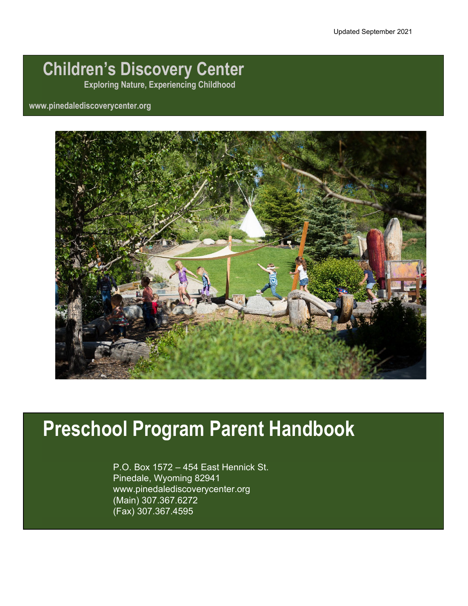# **Children's Discovery Center**

**Exploring Nature, Experiencing Childhood**

# **www.pinedalediscoverycenter.org**



# **Preschool Program Parent Handbook**

P.O. Box 1572 – 454 East Hennick St. Pinedale, Wyoming 82941 www.pinedalediscoverycenter.org (Main) 307.367.6272 (Fax) 307.367.4595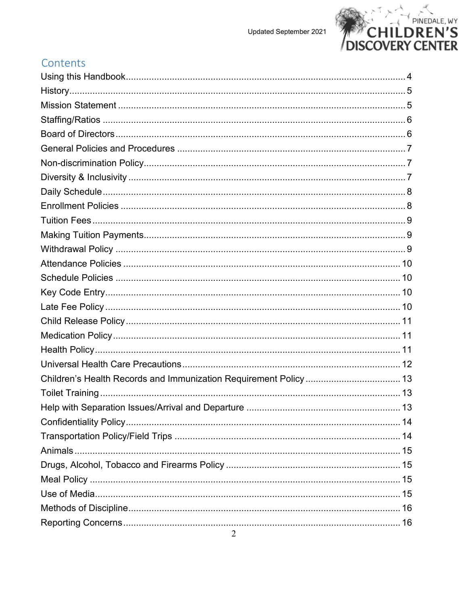

# Contents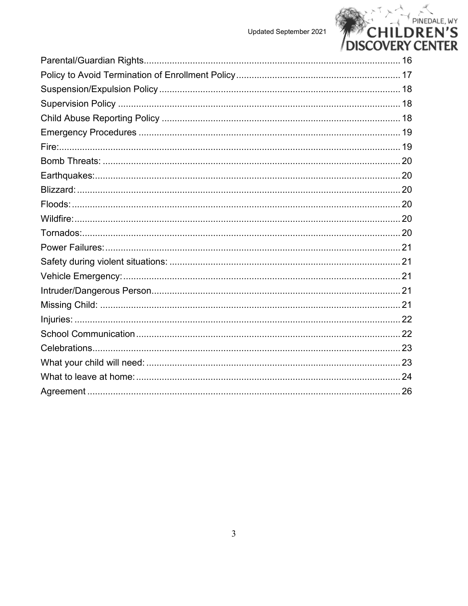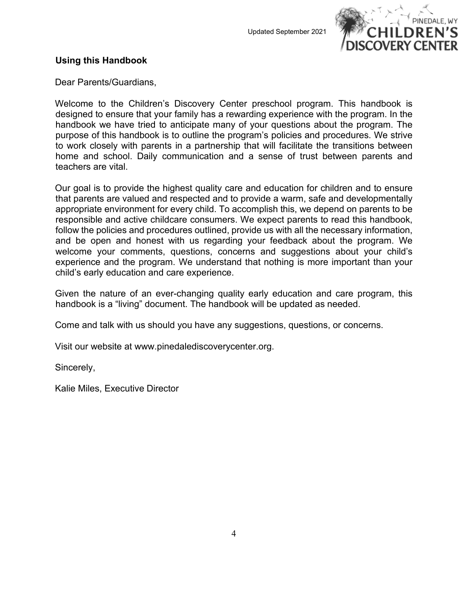

#### <span id="page-3-0"></span>**Using this Handbook**

Dear Parents/Guardians,

Welcome to the Children's Discovery Center preschool program. This handbook is designed to ensure that your family has a rewarding experience with the program. In the handbook we have tried to anticipate many of your questions about the program. The purpose of this handbook is to outline the program's policies and procedures. We strive to work closely with parents in a partnership that will facilitate the transitions between home and school. Daily communication and a sense of trust between parents and teachers are vital.

Our goal is to provide the highest quality care and education for children and to ensure that parents are valued and respected and to provide a warm, safe and developmentally appropriate environment for every child. To accomplish this, we depend on parents to be responsible and active childcare consumers. We expect parents to read this handbook, follow the policies and procedures outlined, provide us with all the necessary information, and be open and honest with us regarding your feedback about the program. We welcome your comments, questions, concerns and suggestions about your child's experience and the program. We understand that nothing is more important than your child's early education and care experience.

Given the nature of an ever-changing quality early education and care program, this handbook is a "living" document. The handbook will be updated as needed.

Come and talk with us should you have any suggestions, questions, or concerns.

Visit our website at [www.pinedalediscoverycenter.org.](about:blank)

Sincerely,

Kalie Miles, Executive Director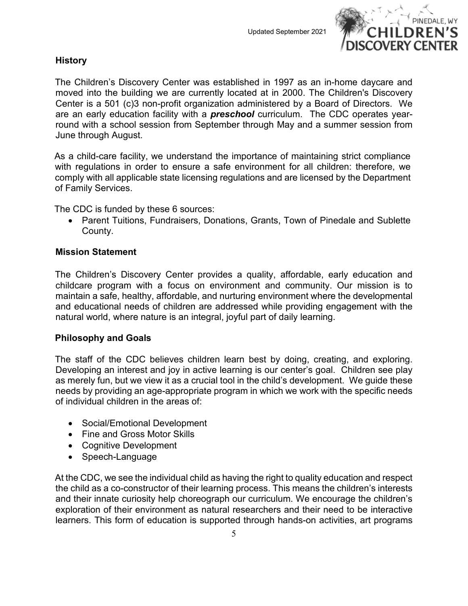

# <span id="page-4-0"></span>**History**

The Children's Discovery Center was established in 1997 as an in-home daycare and moved into the building we are currently located at in 2000. The Children's Discovery Center is a 501 (c)3 non-profit organization administered by a Board of Directors. We are an early education facility with a *preschool* curriculum. The CDC operates yearround with a school session from September through May and a summer session from June through August.

As a child-care facility, we understand the importance of maintaining strict compliance with regulations in order to ensure a safe environment for all children: therefore, we comply with all applicable state licensing regulations and are licensed by the Department of Family Services.

The CDC is funded by these 6 sources:

• Parent Tuitions, Fundraisers, Donations, Grants, Town of Pinedale and Sublette County.

# <span id="page-4-1"></span>**Mission Statement**

The Children's Discovery Center provides a quality, affordable, early education and childcare program with a focus on environment and community. Our mission is to maintain a safe, healthy, affordable, and nurturing environment where the developmental and educational needs of children are addressed while providing engagement with the natural world, where nature is an integral, joyful part of daily learning.

# **Philosophy and Goals**

The staff of the CDC believes children learn best by doing, creating, and exploring. Developing an interest and joy in active learning is our center's goal. Children see play as merely fun, but we view it as a crucial tool in the child's development. We guide these needs by providing an age-appropriate program in which we work with the specific needs of individual children in the areas of:

- Social/Emotional Development
- Fine and Gross Motor Skills
- Cognitive Development
- Speech-Language

At the CDC, we see the individual child as having the right to quality education and respect the child as a co-constructor of their learning process. This means the children's interests and their innate curiosity help choreograph our curriculum. We encourage the children's exploration of their environment as natural researchers and their need to be interactive learners. This form of education is supported through hands-on activities, art programs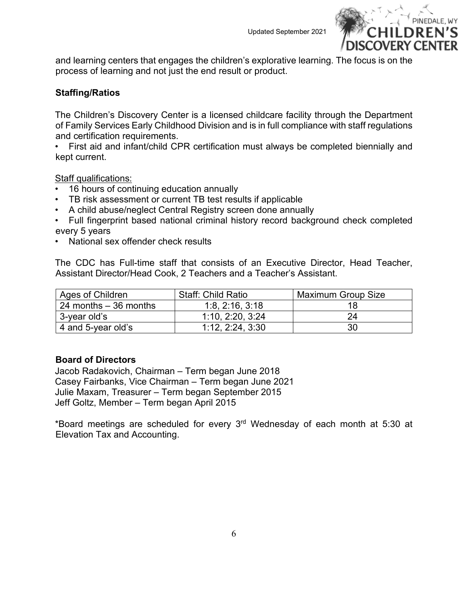

and learning centers that engages the children's explorative learning. The focus is on the process of learning and not just the end result or product.

# <span id="page-5-0"></span>**Staffing/Ratios**

The Children's Discovery Center is a licensed childcare facility through the Department of Family Services Early Childhood Division and is in full compliance with staff regulations and certification requirements.

• First aid and infant/child CPR certification must always be completed biennially and kept current.

Staff qualifications:

- 16 hours of continuing education annually
- TB risk assessment or current TB test results if applicable
- A child abuse/neglect Central Registry screen done annually
- Full fingerprint based national criminal history record background check completed every 5 years
- National sex offender check results

The CDC has Full-time staff that consists of an Executive Director, Head Teacher, Assistant Director/Head Cook, 2 Teachers and a Teacher's Assistant.

| Ages of Children       | <b>Staff: Child Ratio</b> | <b>Maximum Group Size</b> |
|------------------------|---------------------------|---------------------------|
| 24 months $-36$ months | 1:8, 2:16, 3:18           |                           |
| 3-year old's           | 1:10, 2:20, 3:24          | 24                        |
| 4 and 5-year old's     | 1:12, 2:24, 3:30          | 30                        |

# <span id="page-5-1"></span>**Board of Directors**

Jacob Radakovich, Chairman – Term began June 2018 Casey Fairbanks, Vice Chairman – Term began June 2021 Julie Maxam, Treasurer – Term began September 2015 Jeff Goltz, Member – Term began April 2015

\*Board meetings are scheduled for every 3rd Wednesday of each month at 5:30 at Elevation Tax and Accounting.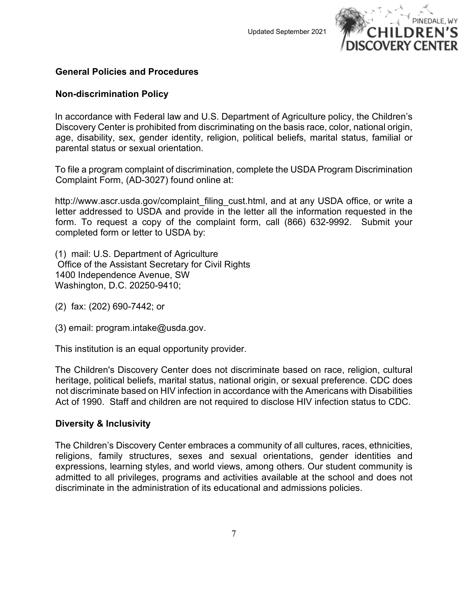

# <span id="page-6-0"></span>**General Policies and Procedures**

#### <span id="page-6-1"></span>**Non-discrimination Policy**

In accordance with Federal law and U.S. Department of Agriculture policy, the Children's Discovery Center is prohibited from discriminating on the basis race, color, national origin, age, disability, sex, gender identity, religion, political beliefs, marital status, familial or parental status or sexual orientation.

To file a program complaint of discrimination, complete the USDA Program Discrimination Complaint Form, (AD-3027) found online at:

http://www.ascr.usda.gov/complaint\_filing\_cust.html, and at any USDA office, or write a letter addressed to USDA and provide in the letter all the information requested in the form. To request a copy of the complaint form, call (866) 632-9992. Submit your completed form or letter to USDA by:

(1) mail: U.S. Department of Agriculture Office of the Assistant Secretary for Civil Rights 1400 Independence Avenue, SW Washington, D.C. 20250-9410;

(2) fax: (202) 690-7442; or

(3) email: program.intake@usda.gov.

This institution is an equal opportunity provider.

The Children's Discovery Center does not discriminate based on race, religion, cultural heritage, political beliefs, marital status, national origin, or sexual preference. CDC does not discriminate based on HIV infection in accordance with the Americans with Disabilities Act of 1990. Staff and children are not required to disclose HIV infection status to CDC.

#### <span id="page-6-2"></span>**Diversity & Inclusivity**

The Children's Discovery Center embraces a community of all cultures, races, ethnicities, religions, family structures, sexes and sexual orientations, gender identities and expressions, learning styles, and world views, among others. Our student community is admitted to all privileges, programs and activities available at the school and does not discriminate in the administration of its educational and admissions policies.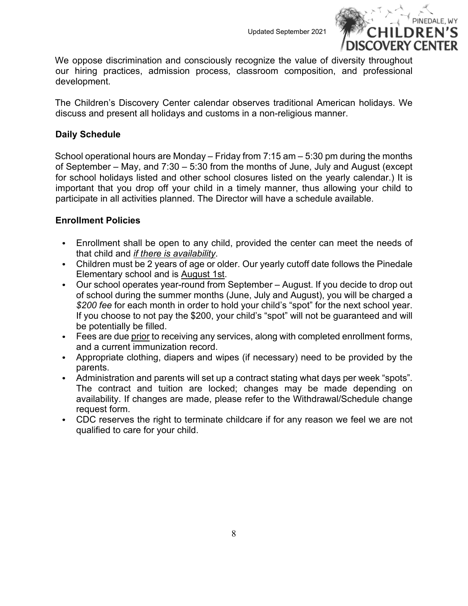

We oppose discrimination and consciously recognize the value of diversity throughout our hiring practices, admission process, classroom composition, and professional development.

The Children's Discovery Center calendar observes traditional American holidays. We discuss and present all holidays and customs in a non-religious manner.

# <span id="page-7-0"></span>**Daily Schedule**

School operational hours are Monday – Friday from 7:15 am – 5:30 pm during the months of September – May, and 7:30 – 5:30 from the months of June, July and August (except for school holidays listed and other school closures listed on the yearly calendar.) It is important that you drop off your child in a timely manner, thus allowing your child to participate in all activities planned. The Director will have a schedule available.

# <span id="page-7-1"></span>**Enrollment Policies**

- Enrollment shall be open to any child, provided the center can meet the needs of that child and *if there is availability*.
- Children must be 2 years of age or older. Our yearly cutoff date follows the Pinedale Elementary school and is August 1st.
- Our school operates year-round from September August. If you decide to drop out of school during the summer months (June, July and August), you will be charged a *\$200 fee* for each month in order to hold your child's "spot" for the next school year. If you choose to not pay the \$200, your child's "spot" will not be guaranteed and will be potentially be filled.
- Fees are due prior to receiving any services, along with completed enrollment forms, and a current immunization record.
- Appropriate clothing, diapers and wipes (if necessary) need to be provided by the parents.
- Administration and parents will set up a contract stating what days per week "spots". The contract and tuition are locked; changes may be made depending on availability. If changes are made, please refer to the Withdrawal/Schedule change request form.
- CDC reserves the right to terminate childcare if for any reason we feel we are not qualified to care for your child.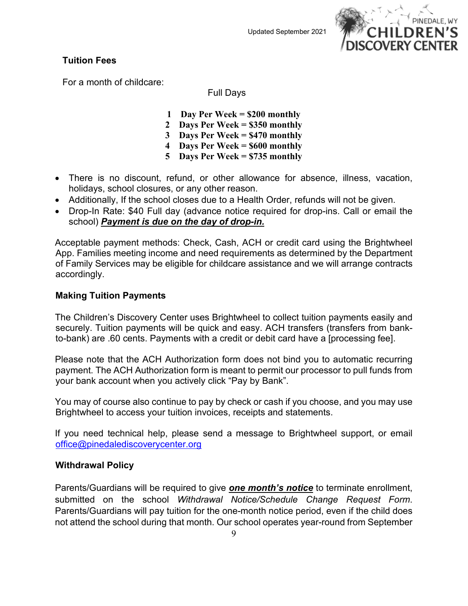

# <span id="page-8-0"></span>**Tuition Fees**

For a month of childcare:

Full Days

- **1 Day Per Week = \$200 monthly**
- **2 Days Per Week = \$350 monthly**
- **3 Days Per Week = \$470 monthly**
- **4 Days Per Week = \$600 monthly**
- **5 Days Per Week = \$735 monthly**
- There is no discount, refund, or other allowance for absence, illness, vacation, holidays, school closures, or any other reason.
- Additionally, If the school closes due to a Health Order, refunds will not be given.
- Drop-In Rate: \$40 Full day (advance notice required for drop-ins. Call or email the school) *Payment is due on the day of drop-in.*

Acceptable payment methods: Check, Cash, ACH or credit card using the Brightwheel App. Families meeting income and need requirements as determined by the Department of Family Services may be eligible for childcare assistance and we will arrange contracts accordingly.

# <span id="page-8-1"></span>**Making Tuition Payments**

The Children's Discovery Center uses Brightwheel to collect tuition payments easily and securely. Tuition payments will be quick and easy. ACH transfers (transfers from bankto-bank) are .60 cents. Payments with a credit or debit card have a [processing fee].

Please note that the ACH Authorization form does not bind you to automatic recurring payment. The ACH Authorization form is meant to permit our processor to pull funds from your bank account when you actively click "Pay by Bank".

You may of course also continue to pay by check or cash if you choose, and you may use Brightwheel to access your tuition invoices, receipts and statements.

If you need technical help, please send a message to Brightwheel support, or email [office@pinedalediscoverycenter.org](mailto:office@pinedalediscoverycenter.org)

# <span id="page-8-2"></span>**Withdrawal Policy**

Parents/Guardians will be required to give *one month's notice* to terminate enrollment, submitted on the school *Withdrawal Notice/Schedule Change Request Form*. Parents/Guardians will pay tuition for the one-month notice period, even if the child does not attend the school during that month. Our school operates year-round from September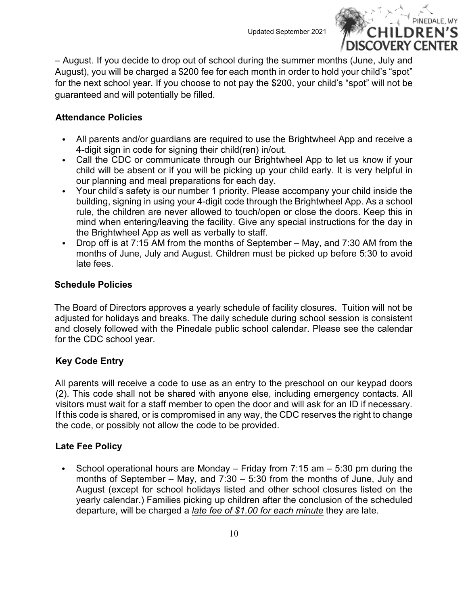

– August. If you decide to drop out of school during the summer months (June, July and August), you will be charged a \$200 fee for each month in order to hold your child's "spot" for the next school year. If you choose to not pay the \$200, your child's "spot" will not be guaranteed and will potentially be filled.

# <span id="page-9-0"></span>**Attendance Policies**

- All parents and/or guardians are required to use the Brightwheel App and receive a 4-digit sign in code for signing their child(ren) in/out.
- Call the CDC or communicate through our Brightwheel App to let us know if your child will be absent or if you will be picking up your child early. It is very helpful in our planning and meal preparations for each day.
- Your child's safety is our number 1 priority. Please accompany your child inside the building, signing in using your 4-digit code through the Brightwheel App. As a school rule, the children are never allowed to touch/open or close the doors. Keep this in mind when entering/leaving the facility. Give any special instructions for the day in the Brightwheel App as well as verbally to staff.
- Drop off is at 7:15 AM from the months of September May, and 7:30 AM from the  $\bullet$ months of June, July and August. Children must be picked up before 5:30 to avoid late fees.

# <span id="page-9-1"></span>**Schedule Policies**

The Board of Directors approves a yearly schedule of facility closures. Tuition will not be adjusted for holidays and breaks. The daily schedule during school session is consistent and closely followed with the Pinedale public school calendar. Please see the calendar for the CDC school year.

# <span id="page-9-2"></span>**Key Code Entry**

All parents will receive a code to use as an entry to the preschool on our keypad doors (2). This code shall not be shared with anyone else, including emergency contacts. All visitors must wait for a staff member to open the door and will ask for an ID if necessary. If this code is shared, or is compromised in any way, the CDC reserves the right to change the code, or possibly not allow the code to be provided.

# <span id="page-9-3"></span>**Late Fee Policy**

School operational hours are Monday – Friday from 7:15 am – 5:30 pm during the months of September – May, and 7:30 – 5:30 from the months of June, July and August (except for school holidays listed and other school closures listed on the yearly calendar.) Families picking up children after the conclusion of the scheduled departure, will be charged a *late fee of \$1.00 for each minute* they are late.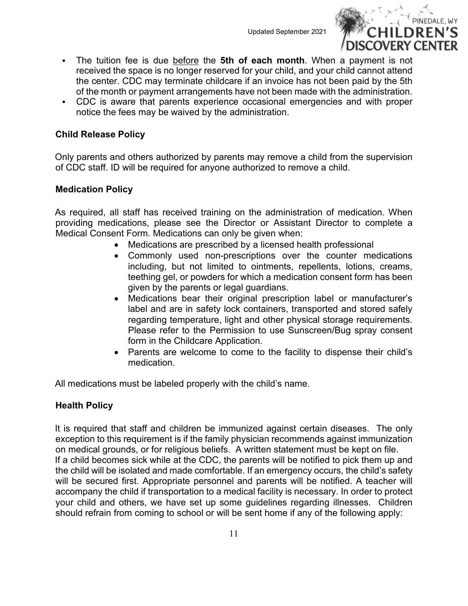

- The tuition fee is due before the **5th of each month**. When a payment is not received the space is no longer reserved for your child, and your child cannot attend the center. CDC may terminate childcare if an invoice has not been paid by the 5th of the month or payment arrangements have not been made with the administration.
- CDC is aware that parents experience occasional emergencies and with proper  $\bullet$ notice the fees may be waived by the administration.

# <span id="page-10-0"></span>**Child Release Policy**

Only parents and others authorized by parents may remove a child from the supervision of CDC staff. ID will be required for anyone authorized to remove a child.

# <span id="page-10-1"></span>**Medication Policy**

As required, all staff has received training on the administration of medication. When providing medications, please see the Director or Assistant Director to complete a Medical Consent Form. Medications can only be given when:

- Medications are prescribed by a licensed health professional
- Commonly used non-prescriptions over the counter medications including, but not limited to ointments, repellents, lotions, creams, teething gel, or powders for which a medication consent form has been given by the parents or legal guardians.
- Medications bear their original prescription label or manufacturer's label and are in safety lock containers, transported and stored safely regarding temperature, light and other physical storage requirements. Please refer to the Permission to use Sunscreen/Bug spray consent form in the Childcare Application.
- Parents are welcome to come to the facility to dispense their child's medication.

All medications must be labeled properly with the child's name.

# <span id="page-10-2"></span>**Health Policy**

It is required that staff and children be immunized against certain diseases. The only exception to this requirement is if the family physician recommends against immunization on medical grounds, or for religious beliefs. A written statement must be kept on file. If a child becomes sick while at the CDC, the parents will be notified to pick them up and the child will be isolated and made comfortable. If an emergency occurs, the child's safety will be secured first. Appropriate personnel and parents will be notified. A teacher will accompany the child if transportation to a medical facility is necessary. In order to protect your child and others, we have set up some guidelines regarding illnesses. Children should refrain from coming to school or will be sent home if any of the following apply: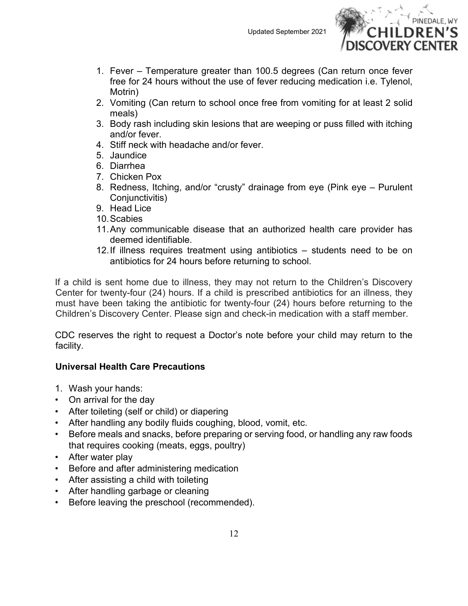

- 1. Fever Temperature greater than 100.5 degrees (Can return once fever free for 24 hours without the use of fever reducing medication i.e. Tylenol, Motrin)
- 2. Vomiting (Can return to school once free from vomiting for at least 2 solid meals)
- 3. Body rash including skin lesions that are weeping or puss filled with itching and/or fever.
- 4. Stiff neck with headache and/or fever.
- 5. Jaundice
- 6. Diarrhea
- 7. Chicken Pox
- 8. Redness, Itching, and/or "crusty" drainage from eye (Pink eye Purulent Conjunctivitis)
- 9. Head Lice
- 10.Scabies
- 11.Any communicable disease that an authorized health care provider has deemed identifiable.
- 12.If illness requires treatment using antibiotics students need to be on antibiotics for 24 hours before returning to school.

If a child is sent home due to illness, they may not return to the Children's Discovery Center for twenty-four (24) hours. If a child is prescribed antibiotics for an illness, they must have been taking the antibiotic for twenty-four (24) hours before returning to the Children's Discovery Center. Please sign and check-in medication with a staff member.

CDC reserves the right to request a Doctor's note before your child may return to the facility.

# <span id="page-11-0"></span>**Universal Health Care Precautions**

- 1. Wash your hands:
- On arrival for the day
- After toileting (self or child) or diapering
- After handling any bodily fluids coughing, blood, vomit, etc.
- Before meals and snacks, before preparing or serving food, or handling any raw foods that requires cooking (meats, eggs, poultry)
- After water play
- Before and after administering medication
- After assisting a child with toileting
- After handling garbage or cleaning
- Before leaving the preschool (recommended).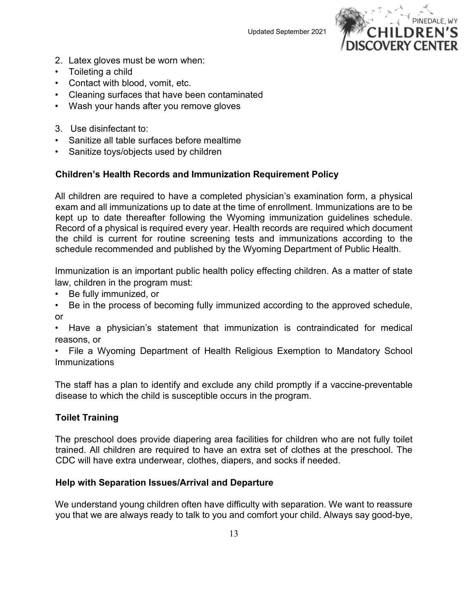

- 2. Latex gloves must be worn when:
- Toileting a child
- Contact with blood, vomit, etc.
- Cleaning surfaces that have been contaminated
- Wash your hands after you remove gloves
- 3. Use disinfectant to:
- Sanitize all table surfaces before mealtime
- Sanitize toys/objects used by children

# <span id="page-12-0"></span>**Children's Health Records and Immunization Requirement Policy**

All children are required to have a completed physician's examination form, a physical exam and all immunizations up to date at the time of enrollment. Immunizations are to be kept up to date thereafter following the Wyoming immunization guidelines schedule. Record of a physical is required every year. Health records are required which document the child is current for routine screening tests and immunizations according to the schedule recommended and published by the Wyoming Department of Public Health.

Immunization is an important public health policy effecting children. As a matter of state law, children in the program must:

- Be fully immunized, or
- Be in the process of becoming fully immunized according to the approved schedule, or

• Have a physician's statement that immunization is contraindicated for medical reasons, or

• File a Wyoming Department of Health Religious Exemption to Mandatory School **Immunizations** 

The staff has a plan to identify and exclude any child promptly if a vaccine-preventable disease to which the child is susceptible occurs in the program.

# <span id="page-12-1"></span>**Toilet Training**

The preschool does provide diapering area facilities for children who are not fully toilet trained. All children are required to have an extra set of clothes at the preschool. The CDC will have extra underwear, clothes, diapers, and socks if needed.

# <span id="page-12-2"></span>**Help with Separation Issues/Arrival and Departure**

We understand young children often have difficulty with separation. We want to reassure you that we are always ready to talk to you and comfort your child. Always say good-bye,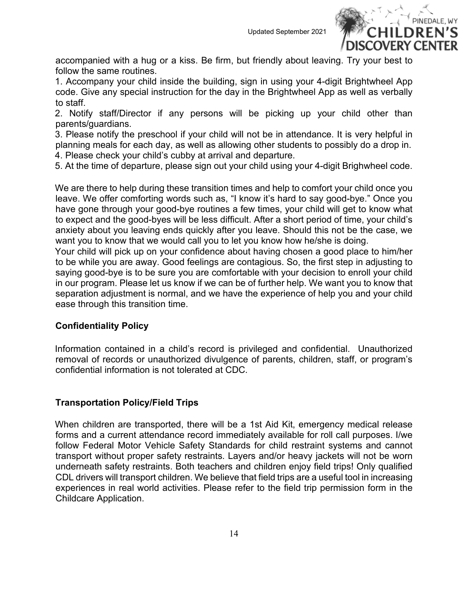

accompanied with a hug or a kiss. Be firm, but friendly about leaving. Try your best to follow the same routines.

1. Accompany your child inside the building, sign in using your 4-digit Brightwheel App code. Give any special instruction for the day in the Brightwheel App as well as verbally to staff.

2. Notify staff/Director if any persons will be picking up your child other than parents/guardians.

3. Please notify the preschool if your child will not be in attendance. It is very helpful in planning meals for each day, as well as allowing other students to possibly do a drop in.

4. Please check your child's cubby at arrival and departure.

5. At the time of departure, please sign out your child using your 4-digit Brighwheel code.

We are there to help during these transition times and help to comfort your child once you leave. We offer comforting words such as, "I know it's hard to say good-bye." Once you have gone through your good-bye routines a few times, your child will get to know what to expect and the good-byes will be less difficult. After a short period of time, your child's anxiety about you leaving ends quickly after you leave. Should this not be the case, we want you to know that we would call you to let you know how he/she is doing.

Your child will pick up on your confidence about having chosen a good place to him/her to be while you are away. Good feelings are contagious. So, the first step in adjusting to saying good-bye is to be sure you are comfortable with your decision to enroll your child in our program. Please let us know if we can be of further help. We want you to know that separation adjustment is normal, and we have the experience of help you and your child ease through this transition time.

# <span id="page-13-0"></span>**Confidentiality Policy**

Information contained in a child's record is privileged and confidential. Unauthorized removal of records or unauthorized divulgence of parents, children, staff, or program's confidential information is not tolerated at CDC.

# <span id="page-13-1"></span>**Transportation Policy/Field Trips**

When children are transported, there will be a 1st Aid Kit, emergency medical release forms and a current attendance record immediately available for roll call purposes. I/we follow Federal Motor Vehicle Safety Standards for child restraint systems and cannot transport without proper safety restraints. Layers and/or heavy jackets will not be worn underneath safety restraints. Both teachers and children enjoy field trips! Only qualified CDL drivers will transport children. We believe that field trips are a useful tool in increasing experiences in real world activities. Please refer to the field trip permission form in the Childcare Application.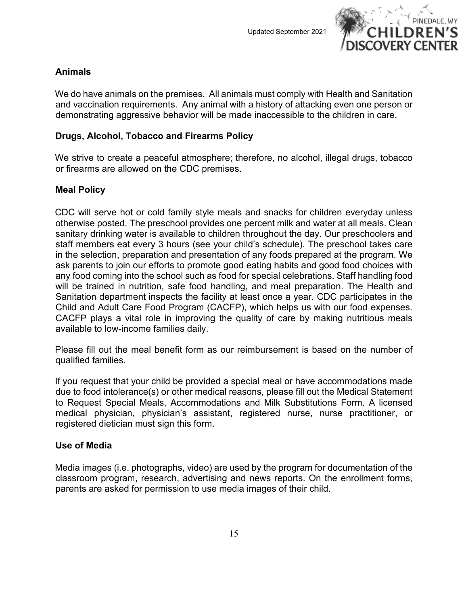

# <span id="page-14-0"></span>**Animals**

We do have animals on the premises. All animals must comply with Health and Sanitation and vaccination requirements. Any animal with a history of attacking even one person or demonstrating aggressive behavior will be made inaccessible to the children in care.

# <span id="page-14-1"></span>**Drugs, Alcohol, Tobacco and Firearms Policy**

We strive to create a peaceful atmosphere; therefore, no alcohol, illegal drugs, tobacco or firearms are allowed on the CDC premises.

# <span id="page-14-2"></span>**Meal Policy**

CDC will serve hot or cold family style meals and snacks for children everyday unless otherwise posted. The preschool provides one percent milk and water at all meals. Clean sanitary drinking water is available to children throughout the day. Our preschoolers and staff members eat every 3 hours (see your child's schedule). The preschool takes care in the selection, preparation and presentation of any foods prepared at the program. We ask parents to join our efforts to promote good eating habits and good food choices with any food coming into the school such as food for special celebrations. Staff handling food will be trained in nutrition, safe food handling, and meal preparation. The Health and Sanitation department inspects the facility at least once a year. CDC participates in the Child and Adult Care Food Program (CACFP), which helps us with our food expenses. CACFP plays a vital role in improving the quality of care by making nutritious meals available to low-income families daily.

Please fill out the meal benefit form as our reimbursement is based on the number of qualified families.

If you request that your child be provided a special meal or have accommodations made due to food intolerance(s) or other medical reasons, please fill out the Medical Statement to Request Special Meals, Accommodations and Milk Substitutions Form. A licensed medical physician, physician's assistant, registered nurse, nurse practitioner, or registered dietician must sign this form.

# <span id="page-14-3"></span>**Use of Media**

Media images (i.e. photographs, video) are used by the program for documentation of the classroom program, research, advertising and news reports. On the enrollment forms, parents are asked for permission to use media images of their child.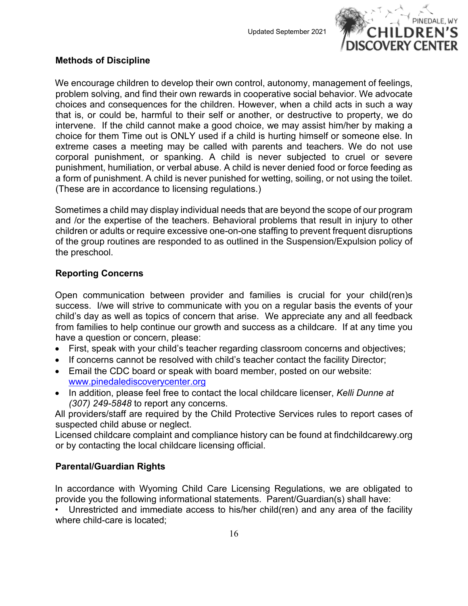

# <span id="page-15-0"></span>**Methods of Discipline**

We encourage children to develop their own control, autonomy, management of feelings, problem solving, and find their own rewards in cooperative social behavior. We advocate choices and consequences for the children. However, when a child acts in such a way that is, or could be, harmful to their self or another, or destructive to property, we do intervene. If the child cannot make a good choice, we may assist him/her by making a choice for them Time out is ONLY used if a child is hurting himself or someone else. In extreme cases a meeting may be called with parents and teachers. We do not use corporal punishment, or spanking. A child is never subjected to cruel or severe punishment, humiliation, or verbal abuse. A child is never denied food or force feeding as a form of punishment. A child is never punished for wetting, soiling, or not using the toilet. (These are in accordance to licensing regulations.)

Sometimes a child may display individual needs that are beyond the scope of our program and /or the expertise of the teachers. Behavioral problems that result in injury to other children or adults or require excessive one-on-one staffing to prevent frequent disruptions of the group routines are responded to as outlined in the Suspension/Expulsion policy of the preschool.

# <span id="page-15-1"></span>**Reporting Concerns**

Open communication between provider and families is crucial for your child(ren)s success. I/we will strive to communicate with you on a regular basis the events of your child's day as well as topics of concern that arise. We appreciate any and all feedback from families to help continue our growth and success as a childcare. If at any time you have a question or concern, please:

- First, speak with your child's teacher regarding classroom concerns and objectives;
- If concerns cannot be resolved with child's teacher contact the facility Director;
- Email the CDC board or speak with board member, posted on our website: [www.pinedalediscoverycenter.org](about:blank)
- In addition, please feel free to contact the local childcare licenser, *Kelli Dunne at (307) 249-5848* to report any concerns.

All providers/staff are required by the Child Protective Services rules to report cases of suspected child abuse or neglect.

Licensed childcare complaint and compliance history can be found at findchildcarewy.org or by contacting the local childcare licensing official.

# <span id="page-15-2"></span>**Parental/Guardian Rights**

In accordance with Wyoming Child Care Licensing Regulations, we are obligated to provide you the following informational statements. Parent/Guardian(s) shall have:

• Unrestricted and immediate access to his/her child(ren) and any area of the facility where child-care is located;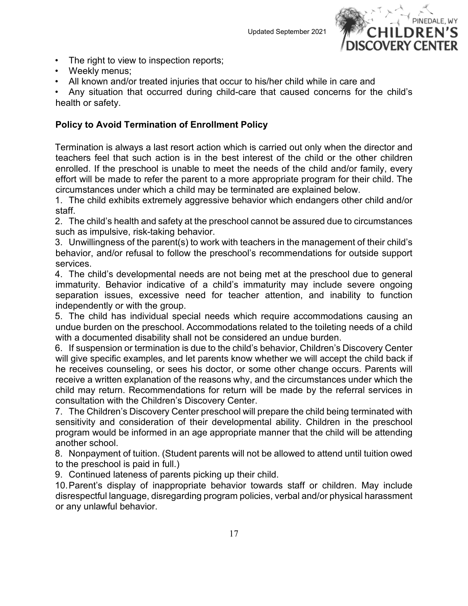

- The right to view to inspection reports;
- Weekly menus;
- All known and/or treated injuries that occur to his/her child while in care and

• Any situation that occurred during child-care that caused concerns for the child's health or safety.

# <span id="page-16-0"></span>**Policy to Avoid Termination of Enrollment Policy**

Termination is always a last resort action which is carried out only when the director and teachers feel that such action is in the best interest of the child or the other children enrolled. If the preschool is unable to meet the needs of the child and/or family, every effort will be made to refer the parent to a more appropriate program for their child. The circumstances under which a child may be terminated are explained below.

1. The child exhibits extremely aggressive behavior which endangers other child and/or staff.

2. The child's health and safety at the preschool cannot be assured due to circumstances such as impulsive, risk-taking behavior.

3. Unwillingness of the parent(s) to work with teachers in the management of their child's behavior, and/or refusal to follow the preschool's recommendations for outside support services.

4. The child's developmental needs are not being met at the preschool due to general immaturity. Behavior indicative of a child's immaturity may include severe ongoing separation issues, excessive need for teacher attention, and inability to function independently or with the group.

5. The child has individual special needs which require accommodations causing an undue burden on the preschool. Accommodations related to the toileting needs of a child with a documented disability shall not be considered an undue burden.

6. If suspension or termination is due to the child's behavior, Children's Discovery Center will give specific examples, and let parents know whether we will accept the child back if he receives counseling, or sees his doctor, or some other change occurs. Parents will receive a written explanation of the reasons why, and the circumstances under which the child may return. Recommendations for return will be made by the referral services in consultation with the Children's Discovery Center.

7. The Children's Discovery Center preschool will prepare the child being terminated with sensitivity and consideration of their developmental ability. Children in the preschool program would be informed in an age appropriate manner that the child will be attending another school.

8. Nonpayment of tuition. (Student parents will not be allowed to attend until tuition owed to the preschool is paid in full.)

9. Continued lateness of parents picking up their child.

10.Parent's display of inappropriate behavior towards staff or children. May include disrespectful language, disregarding program policies, verbal and/or physical harassment or any unlawful behavior.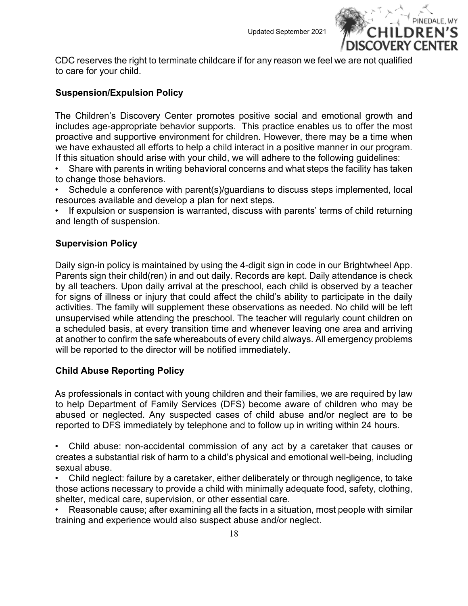

CDC reserves the right to terminate childcare if for any reason we feel we are not qualified to care for your child.

# <span id="page-17-0"></span>**Suspension/Expulsion Policy**

The Children's Discovery Center promotes positive social and emotional growth and includes age-appropriate behavior supports. This practice enables us to offer the most proactive and supportive environment for children. However, there may be a time when we have exhausted all efforts to help a child interact in a positive manner in our program. If this situation should arise with your child, we will adhere to the following guidelines:

• Share with parents in writing behavioral concerns and what steps the facility has taken to change those behaviors.

Schedule a conference with parent(s)/guardians to discuss steps implemented, local resources available and develop a plan for next steps.

If expulsion or suspension is warranted, discuss with parents' terms of child returning and length of suspension.

# <span id="page-17-1"></span>**Supervision Policy**

Daily sign-in policy is maintained by using the 4-digit sign in code in our Brightwheel App. Parents sign their child(ren) in and out daily. Records are kept. Daily attendance is check by all teachers. Upon daily arrival at the preschool, each child is observed by a teacher for signs of illness or injury that could affect the child's ability to participate in the daily activities. The family will supplement these observations as needed. No child will be left unsupervised while attending the preschool. The teacher will regularly count children on a scheduled basis, at every transition time and whenever leaving one area and arriving at another to confirm the safe whereabouts of every child always. All emergency problems will be reported to the director will be notified immediately.

# <span id="page-17-2"></span>**Child Abuse Reporting Policy**

As professionals in contact with young children and their families, we are required by law to help Department of Family Services (DFS) become aware of children who may be abused or neglected. Any suspected cases of child abuse and/or neglect are to be reported to DFS immediately by telephone and to follow up in writing within 24 hours.

• Child abuse: non-accidental commission of any act by a caretaker that causes or creates a substantial risk of harm to a child's physical and emotional well-being, including sexual abuse.

• Child neglect: failure by a caretaker, either deliberately or through negligence, to take those actions necessary to provide a child with minimally adequate food, safety, clothing, shelter, medical care, supervision, or other essential care.

• Reasonable cause; after examining all the facts in a situation, most people with similar training and experience would also suspect abuse and/or neglect.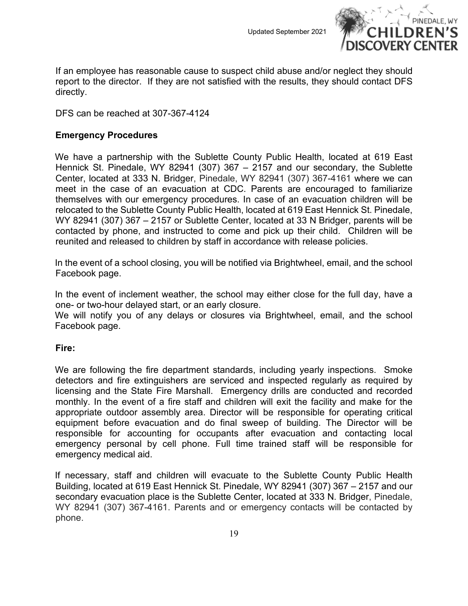

If an employee has reasonable cause to suspect child abuse and/or neglect they should report to the director. If they are not satisfied with the results, they should contact DFS directly.

DFS can be reached at 307-367-4124

#### <span id="page-18-0"></span>**Emergency Procedures**

We have a partnership with the Sublette County Public Health, located at 619 East Hennick St. Pinedale, WY 82941 (307) 367 – 2157 and our secondary, the Sublette Center, located at 333 N. Bridger, Pinedale, WY 82941 (307) 367-4161 where we can meet in the case of an evacuation at CDC. Parents are encouraged to familiarize themselves with our emergency procedures. In case of an evacuation children will be relocated to the Sublette County Public Health, located at 619 East Hennick St. Pinedale, WY 82941 (307) 367 – 2157 or Sublette Center, located at 33 N Bridger, parents will be contacted by phone, and instructed to come and pick up their child. Children will be reunited and released to children by staff in accordance with release policies.

In the event of a school closing, you will be notified via Brightwheel, email, and the school Facebook page.

In the event of inclement weather, the school may either close for the full day, have a one- or two-hour delayed start, or an early closure.

We will notify you of any delays or closures via Brightwheel, email, and the school Facebook page.

#### <span id="page-18-1"></span>**Fire:**

We are following the fire department standards, including yearly inspections. Smoke detectors and fire extinguishers are serviced and inspected regularly as required by licensing and the State Fire Marshall. Emergency drills are conducted and recorded monthly. In the event of a fire staff and children will exit the facility and make for the appropriate outdoor assembly area. Director will be responsible for operating critical equipment before evacuation and do final sweep of building. The Director will be responsible for accounting for occupants after evacuation and contacting local emergency personal by cell phone. Full time trained staff will be responsible for emergency medical aid.

If necessary, staff and children will evacuate to the Sublette County Public Health Building, located at 619 East Hennick St. Pinedale, WY 82941 (307) 367 – 2157 and our secondary evacuation place is the Sublette Center, located at 333 N. Bridger, Pinedale, WY 82941 (307) 367-4161. Parents and or emergency contacts will be contacted by phone.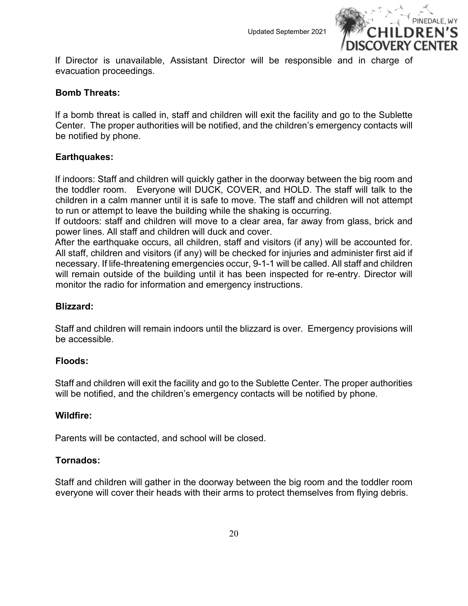

If Director is unavailable, Assistant Director will be responsible and in charge of evacuation proceedings.

#### <span id="page-19-0"></span>**Bomb Threats:**

If a bomb threat is called in, staff and children will exit the facility and go to the Sublette Center. The proper authorities will be notified, and the children's emergency contacts will be notified by phone.

#### <span id="page-19-1"></span>**Earthquakes:**

If indoors: Staff and children will quickly gather in the doorway between the big room and the toddler room. Everyone will DUCK, COVER, and HOLD. The staff will talk to the children in a calm manner until it is safe to move. The staff and children will not attempt to run or attempt to leave the building while the shaking is occurring.

If outdoors: staff and children will move to a clear area, far away from glass, brick and power lines. All staff and children will duck and cover.

After the earthquake occurs, all children, staff and visitors (if any) will be accounted for. All staff, children and visitors (if any) will be checked for injuries and administer first aid if necessary. If life-threatening emergencies occur, 9-1-1 will be called. All staff and children will remain outside of the building until it has been inspected for re-entry. Director will monitor the radio for information and emergency instructions.

#### <span id="page-19-2"></span>**Blizzard:**

Staff and children will remain indoors until the blizzard is over. Emergency provisions will be accessible.

#### <span id="page-19-3"></span>**Floods:**

Staff and children will exit the facility and go to the Sublette Center. The proper authorities will be notified, and the children's emergency contacts will be notified by phone.

#### <span id="page-19-4"></span>**Wildfire:**

Parents will be contacted, and school will be closed.

#### <span id="page-19-5"></span>**Tornados:**

Staff and children will gather in the doorway between the big room and the toddler room everyone will cover their heads with their arms to protect themselves from flying debris.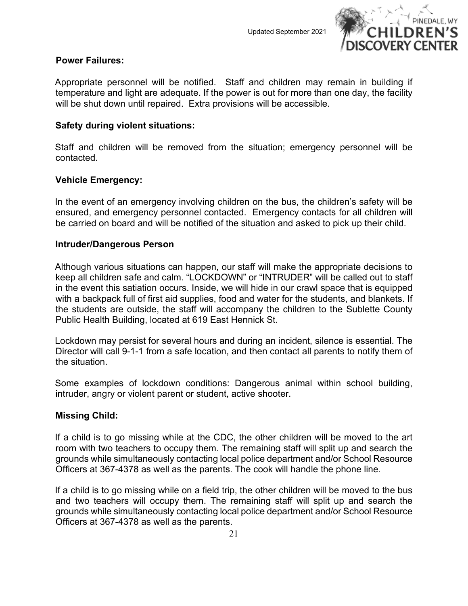

#### <span id="page-20-0"></span>**Power Failures:**

Appropriate personnel will be notified. Staff and children may remain in building if temperature and light are adequate. If the power is out for more than one day, the facility will be shut down until repaired. Extra provisions will be accessible.

#### <span id="page-20-1"></span>**Safety during violent situations:**

Staff and children will be removed from the situation; emergency personnel will be contacted.

# <span id="page-20-2"></span>**Vehicle Emergency:**

In the event of an emergency involving children on the bus, the children's safety will be ensured, and emergency personnel contacted. Emergency contacts for all children will be carried on board and will be notified of the situation and asked to pick up their child.

#### <span id="page-20-3"></span>**Intruder/Dangerous Person**

Although various situations can happen, our staff will make the appropriate decisions to keep all children safe and calm. "LOCKDOWN" or "INTRUDER" will be called out to staff in the event this satiation occurs. Inside, we will hide in our crawl space that is equipped with a backpack full of first aid supplies, food and water for the students, and blankets. If the students are outside, the staff will accompany the children to the Sublette County Public Health Building, located at 619 East Hennick St.

Lockdown may persist for several hours and during an incident, silence is essential. The Director will call 9-1-1 from a safe location, and then contact all parents to notify them of the situation.

Some examples of lockdown conditions: Dangerous animal within school building, intruder, angry or violent parent or student, active shooter.

#### <span id="page-20-4"></span>**Missing Child:**

If a child is to go missing while at the CDC, the other children will be moved to the art room with two teachers to occupy them. The remaining staff will split up and search the grounds while simultaneously contacting local police department and/or School Resource Officers at 367-4378 as well as the parents. The cook will handle the phone line.

If a child is to go missing while on a field trip, the other children will be moved to the bus and two teachers will occupy them. The remaining staff will split up and search the grounds while simultaneously contacting local police department and/or School Resource Officers at 367-4378 as well as the parents.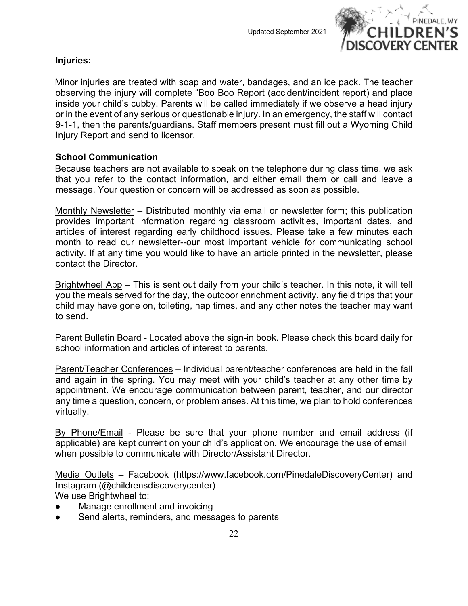

# <span id="page-21-0"></span>**Injuries:**

Minor injuries are treated with soap and water, bandages, and an ice pack. The teacher observing the injury will complete "Boo Boo Report (accident/incident report) and place inside your child's cubby. Parents will be called immediately if we observe a head injury or in the event of any serious or questionable injury. In an emergency, the staff will contact 9-1-1, then the parents/guardians. Staff members present must fill out a Wyoming Child Injury Report and send to licensor.

# <span id="page-21-1"></span>**School Communication**

Because teachers are not available to speak on the telephone during class time, we ask that you refer to the contact information, and either email them or call and leave a message. Your question or concern will be addressed as soon as possible.

Monthly Newsletter – Distributed monthly via email or newsletter form; this publication provides important information regarding classroom activities, important dates, and articles of interest regarding early childhood issues. Please take a few minutes each month to read our newsletter--our most important vehicle for communicating school activity. If at any time you would like to have an article printed in the newsletter, please contact the Director.

Brightwheel App – This is sent out daily from your child's teacher. In this note, it will tell you the meals served for the day, the outdoor enrichment activity, any field trips that your child may have gone on, toileting, nap times, and any other notes the teacher may want to send.

Parent Bulletin Board - Located above the sign-in book. Please check this board daily for school information and articles of interest to parents.

Parent/Teacher Conferences – Individual parent/teacher conferences are held in the fall and again in the spring. You may meet with your child's teacher at any other time by appointment. We encourage communication between parent, teacher, and our director any time a question, concern, or problem arises. At this time, we plan to hold conferences virtually.

By Phone/Email - Please be sure that your phone number and email address (if applicable) are kept current on your child's application. We encourage the use of email when possible to communicate with Director/Assistant Director.

Media Outlets – Facebook (https://www.facebook.com/PinedaleDiscoveryCenter) and Instagram (@childrensdiscoverycenter) We use Brightwheel to:

- Manage enrollment and invoicing
- Send alerts, reminders, and messages to parents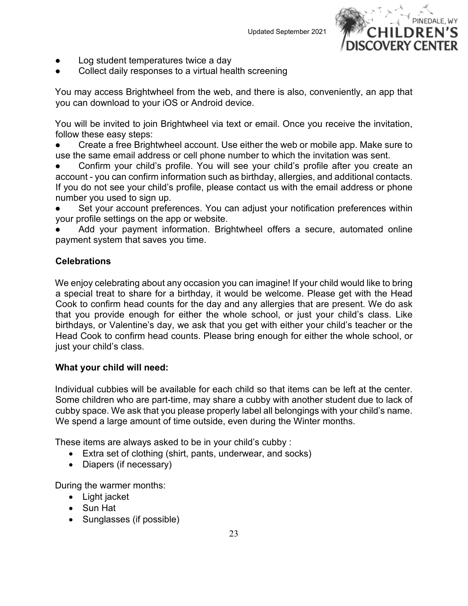

- Log student temperatures twice a day
- Collect daily responses to a virtual health screening

You may access Brightwheel from the web, and there is also, conveniently, an app that you can download to your iOS or Android device.

You will be invited to join Brightwheel via text or email. Once you receive the invitation, follow these easy steps:

Create a free Brightwheel account. Use either the web or mobile app. Make sure to use the same email address or cell phone number to which the invitation was sent.

- Confirm your child's profile. You will see your child's profile after you create an account - you can confirm information such as birthday, allergies, and additional contacts. If you do not see your child's profile, please contact us with the email address or phone number you used to sign up.
- Set your account preferences. You can adjust your notification preferences within your profile settings on the app or website.
- Add your payment information. Brightwheel offers a secure, automated online payment system that saves you time.

# <span id="page-22-0"></span>**Celebrations**

We enjoy celebrating about any occasion you can imagine! If your child would like to bring a special treat to share for a birthday, it would be welcome. Please get with the Head Cook to confirm head counts for the day and any allergies that are present. We do ask that you provide enough for either the whole school, or just your child's class. Like birthdays, or Valentine's day, we ask that you get with either your child's teacher or the Head Cook to confirm head counts. Please bring enough for either the whole school, or just your child's class.

# <span id="page-22-1"></span>**What your child will need:**

Individual cubbies will be available for each child so that items can be left at the center. Some children who are part-time, may share a cubby with another student due to lack of cubby space. We ask that you please properly label all belongings with your child's name. We spend a large amount of time outside, even during the Winter months.

These items are always asked to be in your child's cubby :

- Extra set of clothing (shirt, pants, underwear, and socks)
- Diapers (if necessary)

During the warmer months:

- Light jacket
- Sun Hat
- Sunglasses (if possible)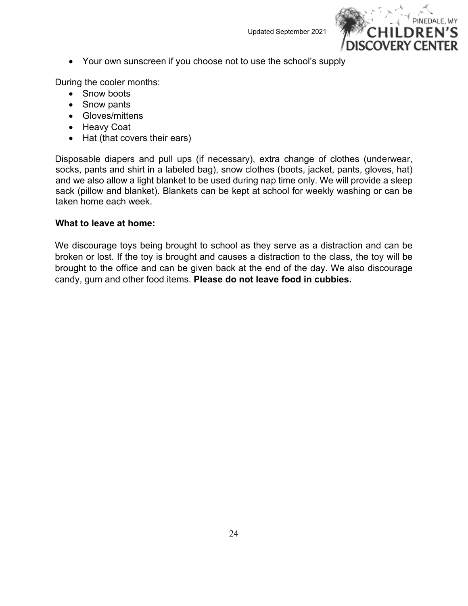

• Your own sunscreen if you choose not to use the school's supply

During the cooler months:

- Snow boots
- Snow pants
- Gloves/mittens
- Heavy Coat
- Hat (that covers their ears)

Disposable diapers and pull ups (if necessary), extra change of clothes (underwear, socks, pants and shirt in a labeled bag), snow clothes (boots, jacket, pants, gloves, hat) and we also allow a light blanket to be used during nap time only. We will provide a sleep sack (pillow and blanket). Blankets can be kept at school for weekly washing or can be taken home each week.

# <span id="page-23-0"></span>**What to leave at home:**

We discourage toys being brought to school as they serve as a distraction and can be broken or lost. If the toy is brought and causes a distraction to the class, the toy will be brought to the office and can be given back at the end of the day. We also discourage candy, gum and other food items. **Please do not leave food in cubbies.**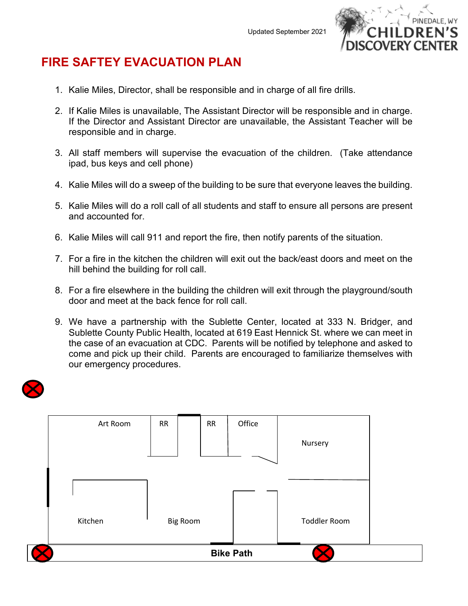

# **FIRE SAFTEY EVACUATION PLAN**

- 1. Kalie Miles, Director, shall be responsible and in charge of all fire drills.
- 2. If Kalie Miles is unavailable, The Assistant Director will be responsible and in charge. If the Director and Assistant Director are unavailable, the Assistant Teacher will be responsible and in charge.
- 3. All staff members will supervise the evacuation of the children. (Take attendance ipad, bus keys and cell phone)
- 4. Kalie Miles will do a sweep of the building to be sure that everyone leaves the building.
- 5. Kalie Miles will do a roll call of all students and staff to ensure all persons are present and accounted for.
- 6. Kalie Miles will call 911 and report the fire, then notify parents of the situation.
- 7. For a fire in the kitchen the children will exit out the back/east doors and meet on the hill behind the building for roll call.
- 8. For a fire elsewhere in the building the children will exit through the playground/south door and meet at the back fence for roll call.
- 9. We have a partnership with the Sublette Center, located at 333 N. Bridger, and Sublette County Public Health, located at 619 East Hennick St. where we can meet in the case of an evacuation at CDC. Parents will be notified by telephone and asked to come and pick up their child. Parents are encouraged to familiarize themselves with our emergency procedures.